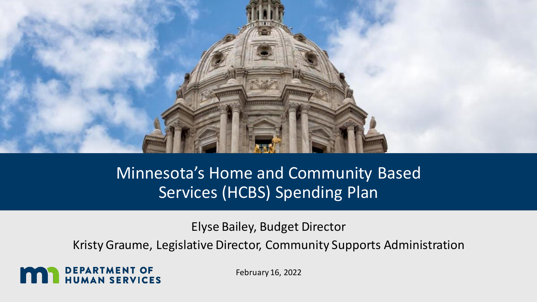

### Minnesota's Home and Community Based Services (HCBS) Spending Plan

Elyse Bailey, Budget Director

Kristy Graume, Legislative Director, Community Supports Administration

**DEPARTMENT OF<br>HUMAN SERVICES** 

February 16, 2022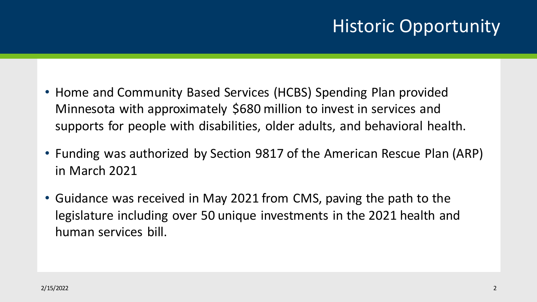# Historic Opportunity

- Home and Community Based Services (HCBS) Spending Plan provided Minnesota with approximately \$680 million to invest in services and supports for people with disabilities, older adults, and behavioral health.
- Funding was authorized by Section 9817 of the American Rescue Plan (ARP) in March 2021
- Guidance was received in May 2021 from CMS, paving the path to the legislature including over 50 unique investments in the 2021 health and human services bill.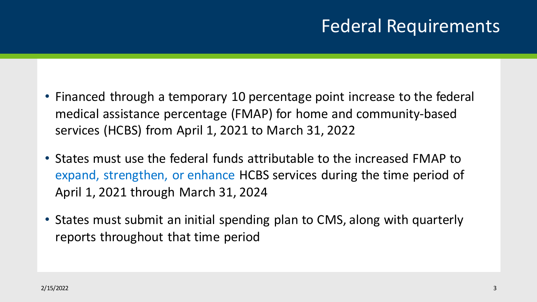## Federal Requirements

- Financed through a temporary 10 percentage point increase to the federal medical assistance percentage (FMAP) for home and community-based services (HCBS) from April 1, 2021 to March 31, 2022
- States must use the federal funds attributable to the increased FMAP to expand, strengthen, or enhance HCBS services during the time period of April 1, 2021 through March 31, 2024
- States must submit an initial spending plan to CMS, along with quarterly reports throughout that time period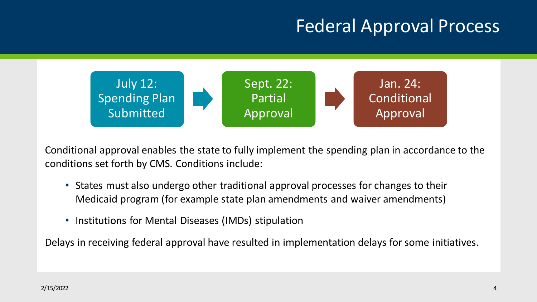## Federal Approval Process



Conditional approval enables the state to fully implement the spending plan in accordance to the conditions set forth by CMS. Conditions include:

- States must also undergo other traditional approval processes for changes to their Medicaid program (for example state plan amendments and waiver amendments)
- Institutions for Mental Diseases (IMDs) stipulation

Delays in receiving federal approval have resulted in implementation delays for some initiatives.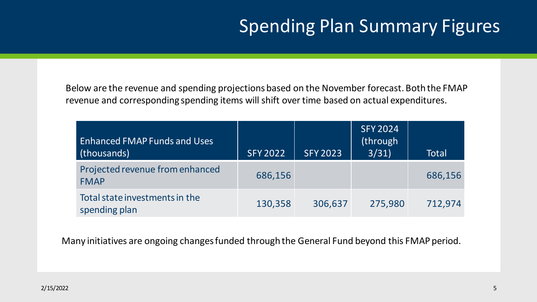# Spending Plan Summary Figures

Below are the revenue and spending projections based on the November forecast. Both the FMAP revenue and corresponding spending items will shift over time based on actual expenditures.

| <b>Enhanced FMAP Funds and Uses</b><br>(thousands) | <b>SFY 2022</b> | <b>SFY 2023</b> | <b>SFY 2024</b><br>(through<br>3/31) | Total   |
|----------------------------------------------------|-----------------|-----------------|--------------------------------------|---------|
| Projected revenue from enhanced<br><b>FMAP</b>     | 686,156         |                 |                                      | 686,156 |
| Total state investments in the<br>spending plan    | 130,358         | 306,637         | 275,980                              | 712,974 |

Many initiatives are ongoing changes funded through the General Fund beyond this FMAP period.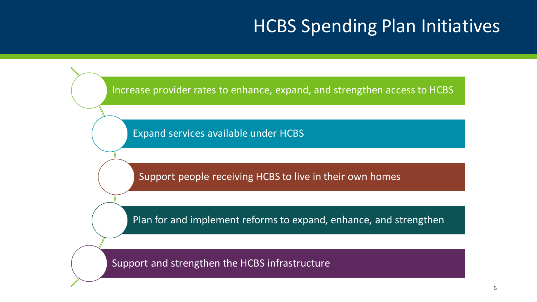### HCBS Spending Plan Initiatives

Increase provider rates to enhance, expand, and strengthen access to HCBS

Expand services available under HCBS

Support people receiving HCBS to live in their own homes

Plan for and implement reforms to expand, enhance, and strengthen

Support and strengthen the HCBS infrastructure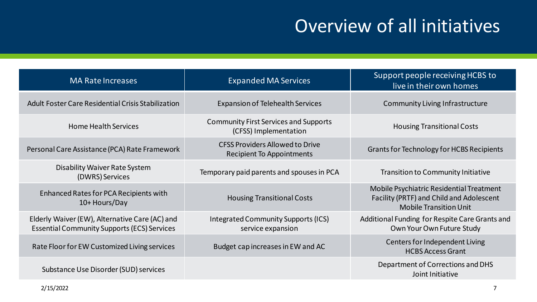## Overview of all initiatives

| <b>MA Rate Increases</b>                                                                             | <b>Expanded MA Services</b>                                                | Support people receiving HCBS to<br>live in their own homes                                                           |
|------------------------------------------------------------------------------------------------------|----------------------------------------------------------------------------|-----------------------------------------------------------------------------------------------------------------------|
| Adult Foster Care Residential Crisis Stabilization                                                   | <b>Expansion of Telehealth Services</b>                                    | <b>Community Living Infrastructure</b>                                                                                |
| <b>Home Health Services</b>                                                                          | <b>Community First Services and Supports</b><br>(CFSS) Implementation      | <b>Housing Transitional Costs</b>                                                                                     |
| Personal Care Assistance (PCA) Rate Framework                                                        | <b>CFSS Providers Allowed to Drive</b><br><b>Recipient To Appointments</b> | <b>Grants for Technology for HCBS Recipients</b>                                                                      |
| <b>Disability Waiver Rate System</b><br>(DWRS) Services                                              | Temporary paid parents and spouses in PCA                                  | <b>Transition to Community Initiative</b>                                                                             |
| Enhanced Rates for PCA Recipients with<br>10+ Hours/Day                                              | <b>Housing Transitional Costs</b>                                          | Mobile Psychiatric Residential Treatment<br>Facility (PRTF) and Child and Adolescent<br><b>Mobile Transition Unit</b> |
| Elderly Waiver (EW), Alternative Care (AC) and<br><b>Essential Community Supports (ECS) Services</b> | Integrated Community Supports (ICS)<br>service expansion                   | Additional Funding for Respite Care Grants and<br>Own Your Own Future Study                                           |
| Rate Floor for EW Customized Living services                                                         | Budget cap increases in EW and AC                                          | Centers for Independent Living<br><b>HCBS Access Grant</b>                                                            |
| Substance Use Disorder (SUD) services                                                                |                                                                            | Department of Corrections and DHS<br>Joint Initiative                                                                 |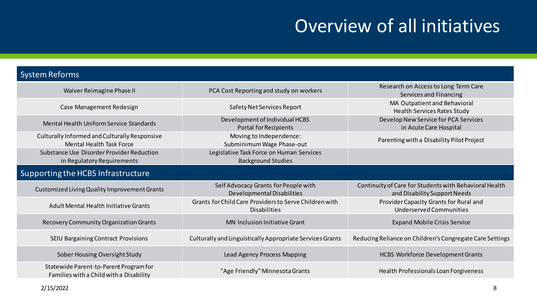## Overview of all initiatives

#### System Reforms

| Waiver Reimagine Phase II                                                         | PCA Cost Reporting and study on workers                                       | Research on Access to Long Term Care<br>Services and Financing                         |  |  |  |
|-----------------------------------------------------------------------------------|-------------------------------------------------------------------------------|----------------------------------------------------------------------------------------|--|--|--|
| Case Management Redesign                                                          | Safety Net Services Report                                                    | MA Outpatient and Behavioral<br>Health Services Rates Study                            |  |  |  |
| Mental Health Uniform Service Standards                                           | Development of Individual HCBS<br><b>Portal for Recipients</b>                | Develop New Service for PCA Services<br>in Acute Care Hospital                         |  |  |  |
| Culturally Informed and Culturally Responsive<br><b>Mental Health Task Force</b>  | Moving to Independence:<br>Subminimum Wage Phase-out                          | Parenting with a Disability Pilot Project                                              |  |  |  |
| Substance Use Disorder Provider Reduction<br>in Regulatory Requirements           | Legislative Task Force on Human Services<br><b>Background Studies</b>         |                                                                                        |  |  |  |
| Supporting the HCBS Infrastructure                                                |                                                                               |                                                                                        |  |  |  |
| Customized Living Quality Improvement Grants                                      | Self Advocacy Grants for People with<br>Developmental Disabilities            | Continuity of Care for Students with Behavioral Health<br>and Disability Support Needs |  |  |  |
| Adult Mental Health Initiative Grants                                             | Grants for Child Care Providers to Serve Children with<br><b>Disabilities</b> | Provider Capacity Grants for Rural and<br><b>Underserved Communities</b>               |  |  |  |
| Recovery Community Organization Grants                                            | <b>MN Inclusion Initiative Grant</b>                                          | <b>Expand Mobile Crisis Service</b>                                                    |  |  |  |
| <b>SEIU Bargaining Contract Provisions</b>                                        | Culturally and Linguistically Appropriate Services Grants                     | Reducing Reliance on Children's Congregate Care Settings                               |  |  |  |
| Sober Housing Oversight Study                                                     | Lead Agency Process Mapping                                                   | <b>HCBS Workforce Development Grants</b>                                               |  |  |  |
| Statewide Parent-to-Parent Program for<br>Families with a Child with a Disability | "Age Friendly" Minnesota Grants                                               | Health Professionals Loan Forgiveness                                                  |  |  |  |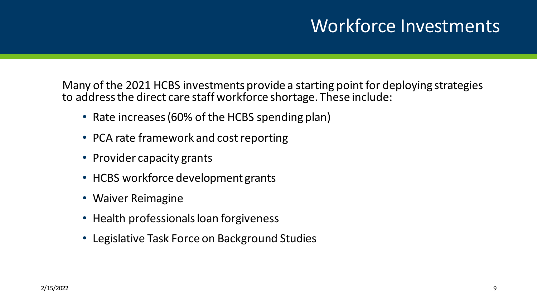### Workforce Investments

Many of the 2021 HCBS investments provide a starting point for deploying strategies to address the direct care staff workforce shortage. These include:

- Rate increases (60% of the HCBS spending plan)
- PCA rate framework and cost reporting
- Provider capacity grants
- HCBS workforce development grants
- Waiver Reimagine
- Health professionals loan forgiveness
- Legislative Task Force on Background Studies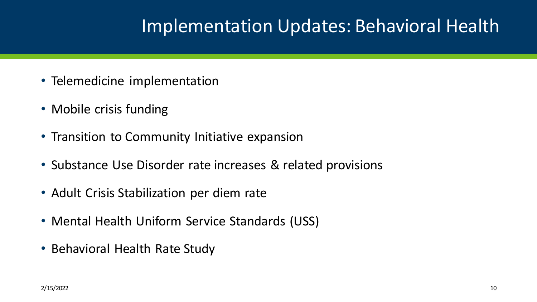### Implementation Updates: Behavioral Health

- Telemedicine implementation
- Mobile crisis funding
- Transition to Community Initiative expansion
- Substance Use Disorder rate increases & related provisions
- Adult Crisis Stabilization per diem rate
- Mental Health Uniform Service Standards (USS)
- Behavioral Health Rate Study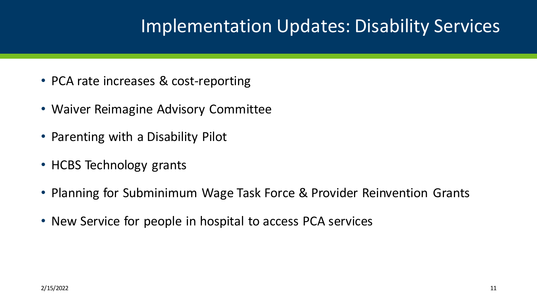### Implementation Updates: Disability Services

- PCA rate increases & cost-reporting
- Waiver Reimagine Advisory Committee
- Parenting with a Disability Pilot
- HCBS Technology grants
- Planning for Subminimum Wage Task Force & Provider Reinvention Grants
- New Service for people in hospital to access PCA services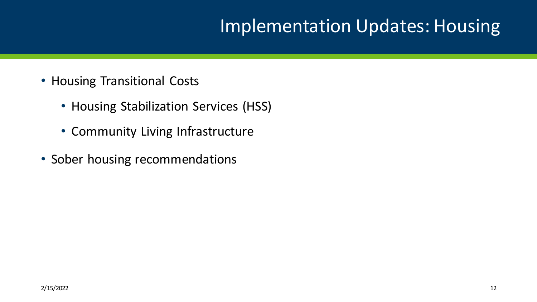### Implementation Updates: Housing

- Housing Transitional Costs
	- Housing Stabilization Services (HSS)
	- Community Living Infrastructure
- Sober housing recommendations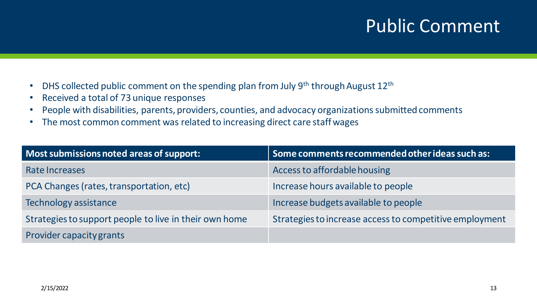### Public Comment

- DHS collected public comment on the spending plan from July 9<sup>th</sup> through August 12<sup>th</sup>
- Received a total of 73 unique responses
- People with disabilities, parents, providers, counties, and advocacy organizations submitted comments
- The most common comment was related to increasing direct care staff wages

| Most submissions noted areas of support:               | Some comments recommended other ideas such as:          |
|--------------------------------------------------------|---------------------------------------------------------|
| Rate Increases                                         | Access to affordable housing                            |
| PCA Changes (rates, transportation, etc)               | Increase hours available to people                      |
| Technology assistance                                  | Increase budgets available to people                    |
| Strategies to support people to live in their own home | Strategies to increase access to competitive employment |
| Provider capacity grants                               |                                                         |